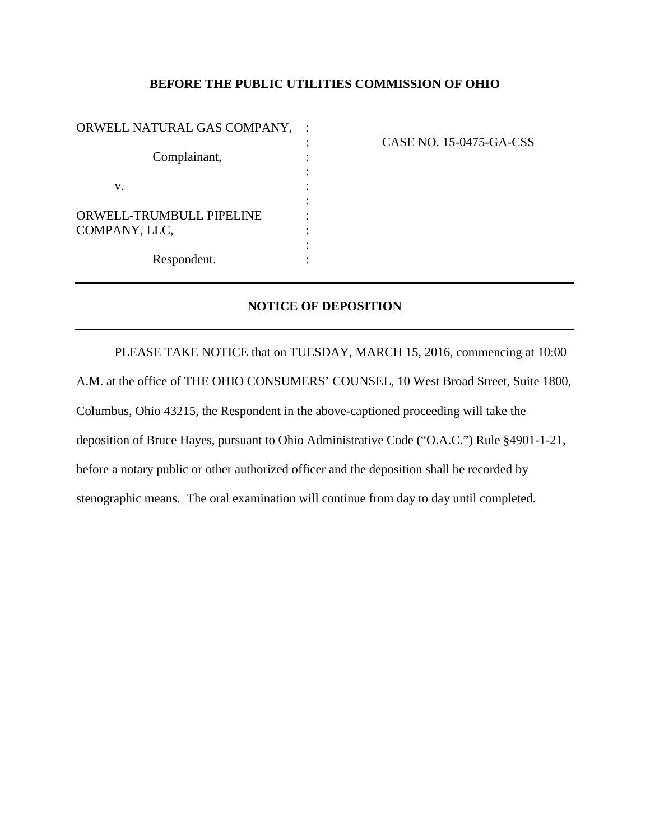### **BEFORE THE PUBLIC UTILITIES COMMISSION OF OHIO**

| ORWELL NATURAL GAS COMPANY,     |  |
|---------------------------------|--|
|                                 |  |
| Complainant,                    |  |
|                                 |  |
| V.                              |  |
|                                 |  |
| <b>ORWELL-TRUMBULL PIPELINE</b> |  |
| COMPANY, LLC,                   |  |
|                                 |  |
| Respondent.                     |  |
|                                 |  |

: CASE NO. 15-0475-GA-CSS

### **NOTICE OF DEPOSITION**

PLEASE TAKE NOTICE that on TUESDAY, MARCH 15, 2016, commencing at 10:00 A.M. at the office of THE OHIO CONSUMERS' COUNSEL, 10 West Broad Street, Suite 1800, Columbus, Ohio 43215, the Respondent in the above-captioned proceeding will take the deposition of Bruce Hayes, pursuant to Ohio Administrative Code ("O.A.C.") Rule §4901-1-21, before a notary public or other authorized officer and the deposition shall be recorded by stenographic means. The oral examination will continue from day to day until completed.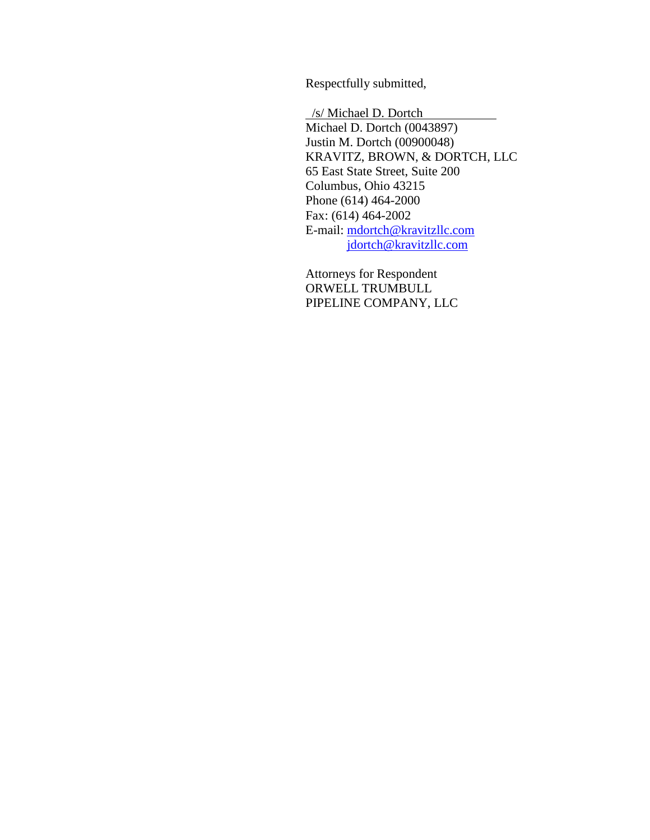Respectfully submitted,

 /s/ Michael D. Dortch Michael D. Dortch (0043897) Justin M. Dortch (00900048) KRAVITZ, BROWN, & DORTCH, LLC 65 East State Street, Suite 200 Columbus, Ohio 43215 Phone (614) 464-2000 Fax: (614) 464-2002 E-mail: [mdortch@kravitzllc.com](mailto:mdortch@dravitzllc.com) [jdortch@kravitzllc.com](mailto:jdortch@kravitzllc.com)

Attorneys for Respondent ORWELL TRUMBULL PIPELINE COMPANY, LLC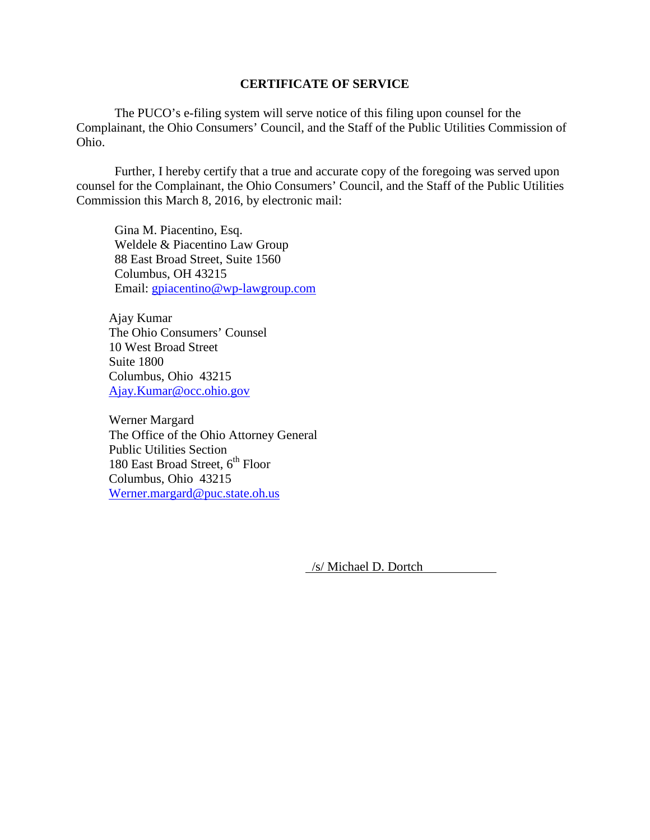#### **CERTIFICATE OF SERVICE**

The PUCO's e-filing system will serve notice of this filing upon counsel for the Complainant, the Ohio Consumers' Council, and the Staff of the Public Utilities Commission of Ohio.

Further, I hereby certify that a true and accurate copy of the foregoing was served upon counsel for the Complainant, the Ohio Consumers' Council, and the Staff of the Public Utilities Commission this March 8, 2016, by electronic mail:

Gina M. Piacentino, Esq. Weldele & Piacentino Law Group 88 East Broad Street, Suite 1560 Columbus, OH 43215 Email: [gpiacentino@wp-lawgroup.com](mailto:gpiacentino@wp-lawgroup.com)

Ajay Kumar The Ohio Consumers' Counsel 10 West Broad Street Suite 1800 Columbus, Ohio 43215 [Ajay.Kumar@occ.ohio.gov](mailto:Ajay.Kumar@occ.ohio.gov)

Werner Margard The Office of the Ohio Attorney General Public Utilities Section 180 East Broad Street,  $6^{th}$  Floor Columbus, Ohio 43215 [Werner.margard@puc.state.oh.us](mailto:Werner.margard@puc.state.oh.us)

/s/ Michael D. Dortch